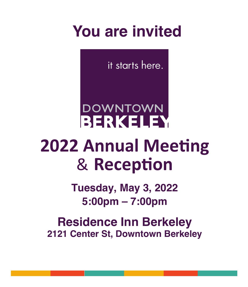# **You are invited**

it starts here.

# **DOWNTOWN BERKELEY 2022 Annual Meeting** & **Reception**

**Tuesday, May 3, 2022 5:00pm – 7:00pm**

**Residence Inn Berkeley 2121 Center St, Downtown Berkeley**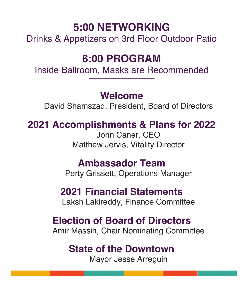### **5:00 NETWORKING**

Drinks & Appetizers on 3rd Floor Outdoor Patio

### **6:00 PROGRAM**

Inside Ballroom, Masks are Recommended

#### **Welcome**

David Shamszad, President, Board of Directors

#### **2021 Accomplishments & Plans for 2022**

 John Caner, CEO Matthew Jervis, Vitality Director

#### **Ambassador Team**

Perty Grissett, Operations Manager

#### **2021 Financial Statements**

Laksh Lakireddy, Finance Committee

#### **Election of Board of Directors**

Amir Massih, Chair Nominating Committee

#### **State of the Downtown**

Mayor Jesse Arreguin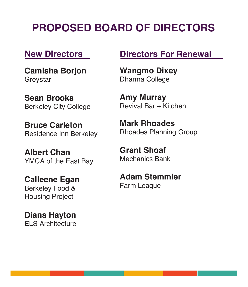## **PROPOSED BOARD OF DIRECTORS**

#### **New Directors**

**Camisha Borjon** Greystar

**Sean Brooks** Berkeley City College

**Bruce Carleton** Residence Inn Berkeley

**Albert Chan** YMCA of the East Bay

**Calleene Egan**  Berkeley Food & Housing Project

**Diana Hayton** ELS Architecture

#### **Directors For Renewal**

**Wangmo Dixey** Dharma College

**Amy Murray** Revival Bar + Kitchen

**Mark Rhoades** Rhoades Planning Group

**Grant Shoaf** Mechanics Bank

**Adam Stemmler** Farm League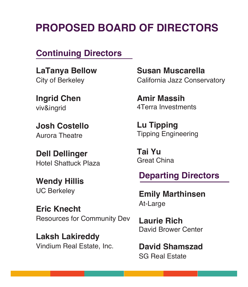### **PROPOSED BOARD OF DIRECTORS**

#### **Continuing Directors**

**LaTanya Bellow** City of Berkeley

**Ingrid Chen** viv&ingrid

**Josh Costello** Aurora Theatre

**Dell Dellinger** Hotel Shattuck Plaza

**Wendy Hillis** UC Berkeley

**Eric Knecht** Resources for Community Dev

**Laksh Lakireddy** Vindium Real Estate, Inc. **Susan Muscarella** California Jazz Conservatory

**Amir Massih** 4Terra Investments

**Lu Tipping** Tipping Engineering

**Tai Yu** Great China

**Departing Directors**

**Emily Marthinsen** At-Large

**Laurie Rich** David Brower Center

**David Shamszad** SG Real Estate